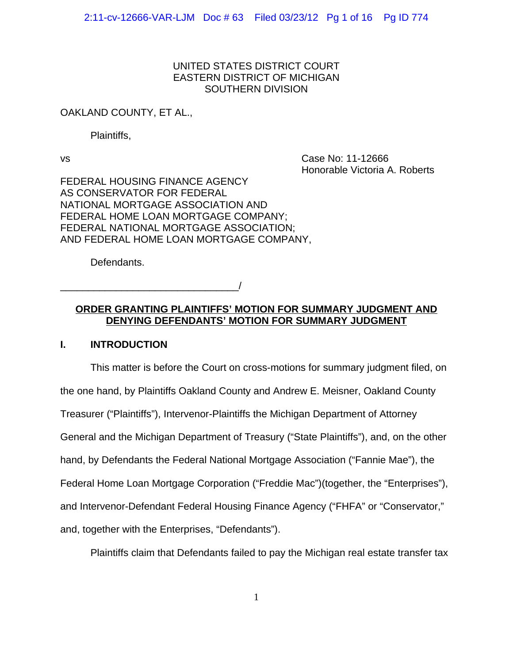## UNITED STATES DISTRICT COURT EASTERN DISTRICT OF MICHIGAN SOUTHERN DIVISION

## OAKLAND COUNTY, ET AL.,

Plaintiffs,

vs Case No: 11-12666 Honorable Victoria A. Roberts

FEDERAL HOUSING FINANCE AGENCY AS CONSERVATOR FOR FEDERAL NATIONAL MORTGAGE ASSOCIATION AND FEDERAL HOME LOAN MORTGAGE COMPANY; FEDERAL NATIONAL MORTGAGE ASSOCIATION; AND FEDERAL HOME LOAN MORTGAGE COMPANY,

Defendants.

\_\_\_\_\_\_\_\_\_\_\_\_\_\_\_\_\_\_\_\_\_\_\_\_\_\_\_\_\_\_\_\_/

# **ORDER GRANTING PLAINTIFFS' MOTION FOR SUMMARY JUDGMENT AND DENYING DEFENDANTS' MOTION FOR SUMMARY JUDGMENT**

# **I. INTRODUCTION**

This matter is before the Court on cross-motions for summary judgment filed, on the one hand, by Plaintiffs Oakland County and Andrew E. Meisner, Oakland County Treasurer ("Plaintiffs"), Intervenor-Plaintiffs the Michigan Department of Attorney General and the Michigan Department of Treasury ("State Plaintiffs"), and, on the other hand, by Defendants the Federal National Mortgage Association ("Fannie Mae"), the Federal Home Loan Mortgage Corporation ("Freddie Mac")(together, the "Enterprises"), and Intervenor-Defendant Federal Housing Finance Agency ("FHFA" or "Conservator," and, together with the Enterprises, "Defendants").

Plaintiffs claim that Defendants failed to pay the Michigan real estate transfer tax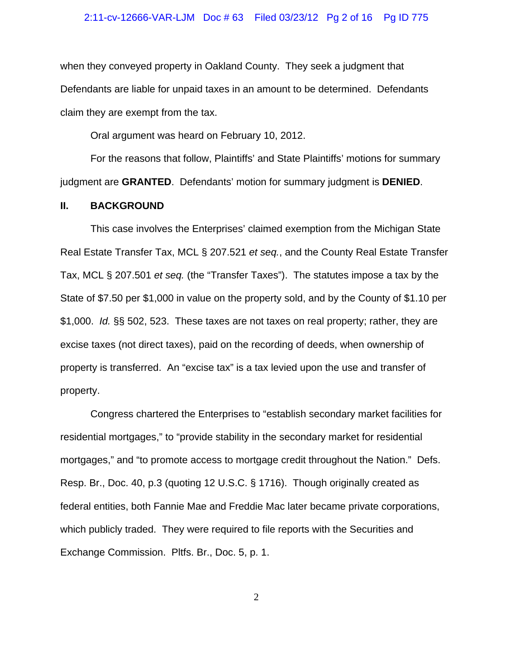## 2:11-cv-12666-VAR-LJM Doc # 63 Filed 03/23/12 Pg 2 of 16 Pg ID 775

when they conveyed property in Oakland County. They seek a judgment that Defendants are liable for unpaid taxes in an amount to be determined. Defendants claim they are exempt from the tax.

Oral argument was heard on February 10, 2012.

For the reasons that follow, Plaintiffs' and State Plaintiffs' motions for summary judgment are **GRANTED**. Defendants' motion for summary judgment is **DENIED**.

## **II. BACKGROUND**

This case involves the Enterprises' claimed exemption from the Michigan State Real Estate Transfer Tax, MCL § 207.521 *et seq.*, and the County Real Estate Transfer Tax, MCL § 207.501 *et seq.* (the "Transfer Taxes"). The statutes impose a tax by the State of \$7.50 per \$1,000 in value on the property sold, and by the County of \$1.10 per \$1,000. *Id.* §§ 502, 523. These taxes are not taxes on real property; rather, they are excise taxes (not direct taxes), paid on the recording of deeds, when ownership of property is transferred. An "excise tax" is a tax levied upon the use and transfer of property.

Congress chartered the Enterprises to "establish secondary market facilities for residential mortgages," to "provide stability in the secondary market for residential mortgages," and "to promote access to mortgage credit throughout the Nation." Defs. Resp. Br., Doc. 40, p.3 (quoting 12 U.S.C. § 1716). Though originally created as federal entities, both Fannie Mae and Freddie Mac later became private corporations, which publicly traded. They were required to file reports with the Securities and Exchange Commission. Pltfs. Br., Doc. 5, p. 1.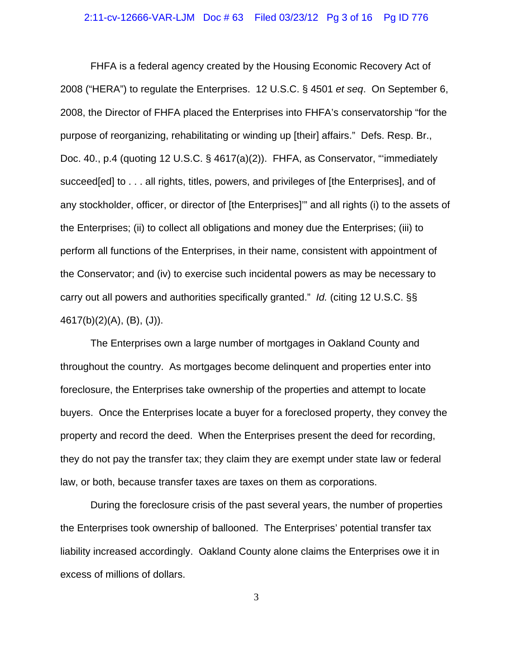## 2:11-cv-12666-VAR-LJM Doc # 63 Filed 03/23/12 Pg 3 of 16 Pg ID 776

FHFA is a federal agency created by the Housing Economic Recovery Act of 2008 ("HERA") to regulate the Enterprises. 12 U.S.C. § 4501 *et seq*. On September 6, 2008, the Director of FHFA placed the Enterprises into FHFA's conservatorship "for the purpose of reorganizing, rehabilitating or winding up [their] affairs." Defs. Resp. Br., Doc. 40., p.4 (quoting 12 U.S.C. § 4617(a)(2)). FHFA, as Conservator, "'immediately succeed[ed] to . . . all rights, titles, powers, and privileges of [the Enterprises], and of any stockholder, officer, or director of [the Enterprises]'" and all rights (i) to the assets of the Enterprises; (ii) to collect all obligations and money due the Enterprises; (iii) to perform all functions of the Enterprises, in their name, consistent with appointment of the Conservator; and (iv) to exercise such incidental powers as may be necessary to carry out all powers and authorities specifically granted." *Id.* (citing 12 U.S.C. §§ 4617(b)(2)(A), (B), (J)).

The Enterprises own a large number of mortgages in Oakland County and throughout the country. As mortgages become delinquent and properties enter into foreclosure, the Enterprises take ownership of the properties and attempt to locate buyers. Once the Enterprises locate a buyer for a foreclosed property, they convey the property and record the deed. When the Enterprises present the deed for recording, they do not pay the transfer tax; they claim they are exempt under state law or federal law, or both, because transfer taxes are taxes on them as corporations.

During the foreclosure crisis of the past several years, the number of properties the Enterprises took ownership of ballooned. The Enterprises' potential transfer tax liability increased accordingly. Oakland County alone claims the Enterprises owe it in excess of millions of dollars.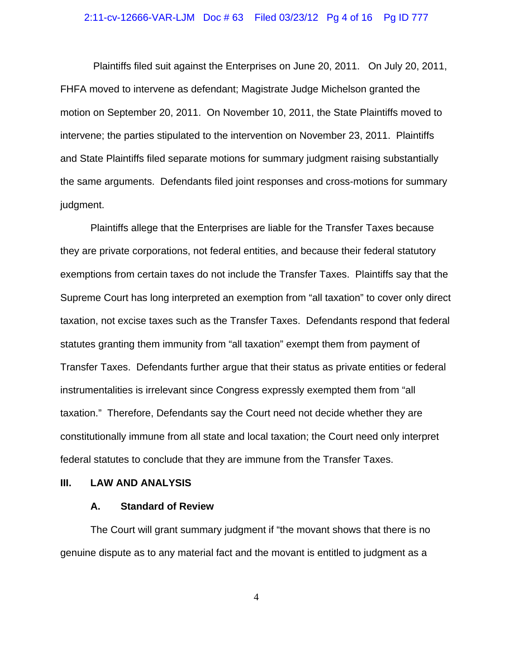## 2:11-cv-12666-VAR-LJM Doc # 63 Filed 03/23/12 Pg 4 of 16 Pg ID 777

 Plaintiffs filed suit against the Enterprises on June 20, 2011. On July 20, 2011, FHFA moved to intervene as defendant; Magistrate Judge Michelson granted the motion on September 20, 2011. On November 10, 2011, the State Plaintiffs moved to intervene; the parties stipulated to the intervention on November 23, 2011. Plaintiffs and State Plaintiffs filed separate motions for summary judgment raising substantially the same arguments. Defendants filed joint responses and cross-motions for summary judgment.

Plaintiffs allege that the Enterprises are liable for the Transfer Taxes because they are private corporations, not federal entities, and because their federal statutory exemptions from certain taxes do not include the Transfer Taxes.Plaintiffs say that the Supreme Court has long interpreted an exemption from "all taxation" to cover only direct taxation, not excise taxes such as the Transfer Taxes. Defendants respond that federal statutes granting them immunity from "all taxation" exempt them from payment of Transfer Taxes. Defendants further argue that their status as private entities or federal instrumentalities is irrelevant since Congress expressly exempted them from "all taxation." Therefore, Defendants say the Court need not decide whether they are constitutionally immune from all state and local taxation; the Court need only interpret federal statutes to conclude that they are immune from the Transfer Taxes.

## **III. LAW AND ANALYSIS**

## **A. Standard of Review**

The Court will grant summary judgment if "the movant shows that there is no genuine dispute as to any material fact and the movant is entitled to judgment as a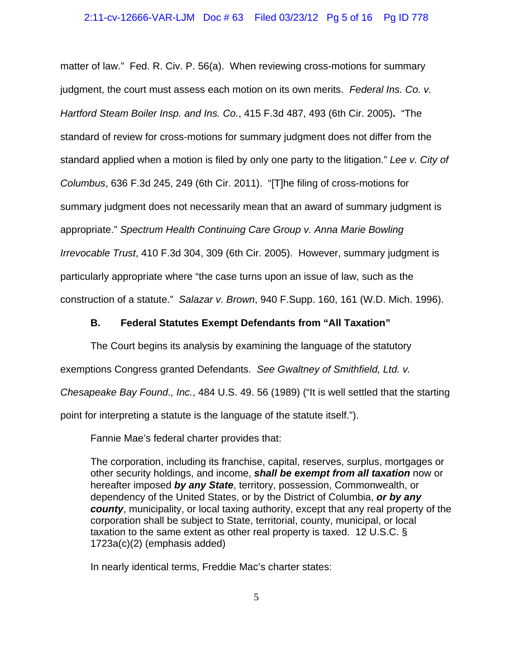## 2:11-cv-12666-VAR-LJM Doc # 63 Filed 03/23/12 Pg 5 of 16 Pg ID 778

matter of law." Fed. R. Civ. P. 56(a). When reviewing cross-motions for summary judgment, the court must assess each motion on its own merits.*Federal Ins. Co. v. Hartford Steam Boiler Insp. and Ins. Co.*, 415 F.3d 487, 493 (6th Cir. 2005)**.** "The standard of review for cross-motions for summary judgment does not differ from the standard applied when a motion is filed by only one party to the litigation." *Lee v. City of Columbus*, 636 F.3d 245, 249 (6th Cir. 2011)."[T]he filing of cross-motions for summary judgment does not necessarily mean that an award of summary judgment is appropriate." *Spectrum Health Continuing Care Group v. Anna Marie Bowling Irrevocable Trust*, 410 F.3d 304, 309 (6th Cir. 2005).However, summary judgment is particularly appropriate where "the case turns upon an issue of law, such as the construction of a statute." *Salazar v. Brown*, 940 F.Supp. 160, 161 (W.D. Mich. 1996).

## **B. Federal Statutes Exempt Defendants from "All Taxation"**

The Court begins its analysis by examining the language of the statutory

exemptions Congress granted Defendants. *See Gwaltney of Smithfield, Ltd. v.*

*Chesapeake Bay Found., Inc.*, 484 U.S. 49. 56 (1989) ("It is well settled that the starting

point for interpreting a statute is the language of the statute itself.").

Fannie Mae's federal charter provides that:

The corporation, including its franchise, capital, reserves, surplus, mortgages or other security holdings, and income, *shall be exempt from all taxation* now or hereafter imposed *by any State*, territory, possession, Commonwealth, or dependency of the United States, or by the District of Columbia, *or by any county*, municipality, or local taxing authority, except that any real property of the corporation shall be subject to State, territorial, county, municipal, or local taxation to the same extent as other real property is taxed. 12 U.S.C. § 1723a(c)(2) (emphasis added)

In nearly identical terms, Freddie Mac's charter states: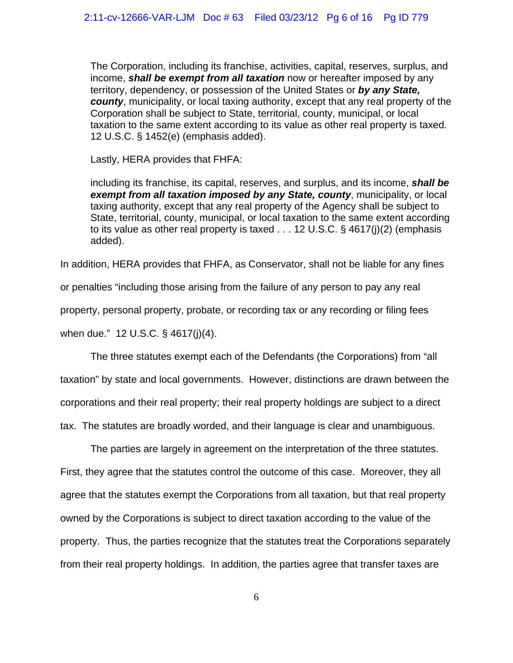The Corporation, including its franchise, activities, capital, reserves, surplus, and income, *shall be exempt from all taxation* now or hereafter imposed by any territory, dependency, or possession of the United States or *by any State, county*, municipality, or local taxing authority, except that any real property of the Corporation shall be subject to State, territorial, county, municipal, or local taxation to the same extent according to its value as other real property is taxed. 12 U.S.C. § 1452(e) (emphasis added).

Lastly, HERA provides that FHFA:

including its franchise, its capital, reserves, and surplus, and its income, *shall be exempt from all taxation imposed by any State, county*, municipality, or local taxing authority, except that any real property of the Agency shall be subject to State, territorial, county, municipal, or local taxation to the same extent according to its value as other real property is taxed  $\dots$  12 U.S.C. § 4617(j)(2) (emphasis added).

In addition, HERA provides that FHFA, as Conservator, shall not be liable for any fines

or penalties "including those arising from the failure of any person to pay any real

property, personal property, probate, or recording tax or any recording or filing fees

when due." 12 U.S.C. § 4617(j)(4).

The three statutes exempt each of the Defendants (the Corporations) from "all taxation" by state and local governments. However, distinctions are drawn between the corporations and their real property; their real property holdings are subject to a direct tax. The statutes are broadly worded, and their language is clear and unambiguous.

The parties are largely in agreement on the interpretation of the three statutes. First, they agree that the statutes control the outcome of this case. Moreover, they all agree that the statutes exempt the Corporations from all taxation, but that real property owned by the Corporations is subject to direct taxation according to the value of the property. Thus, the parties recognize that the statutes treat the Corporations separately from their real property holdings. In addition, the parties agree that transfer taxes are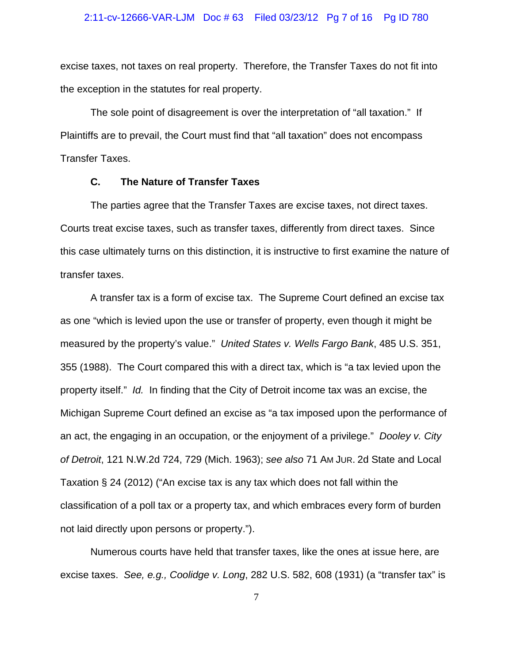## 2:11-cv-12666-VAR-LJM Doc # 63 Filed 03/23/12 Pg 7 of 16 Pg ID 780

excise taxes, not taxes on real property. Therefore, the Transfer Taxes do not fit into the exception in the statutes for real property.

The sole point of disagreement is over the interpretation of "all taxation." If Plaintiffs are to prevail, the Court must find that "all taxation" does not encompass Transfer Taxes.

## **C. The Nature of Transfer Taxes**

The parties agree that the Transfer Taxes are excise taxes, not direct taxes. Courts treat excise taxes, such as transfer taxes, differently from direct taxes. Since this case ultimately turns on this distinction, it is instructive to first examine the nature of transfer taxes.

A transfer tax is a form of excise tax. The Supreme Court defined an excise tax as one "which is levied upon the use or transfer of property, even though it might be measured by the property's value." *United States v. Wells Fargo Bank*, 485 U.S. 351, 355 (1988). The Court compared this with a direct tax, which is "a tax levied upon the property itself." *Id.* In finding that the City of Detroit income tax was an excise, the Michigan Supreme Court defined an excise as "a tax imposed upon the performance of an act, the engaging in an occupation, or the enjoyment of a privilege." *Dooley v. City of Detroit*, 121 N.W.2d 724, 729 (Mich. 1963); *see also* 71 AM JUR. 2d State and Local Taxation § 24 (2012) ("An excise tax is any tax which does not fall within the classification of a poll tax or a property tax, and which embraces every form of burden not laid directly upon persons or property.").

Numerous courts have held that transfer taxes, like the ones at issue here, are excise taxes. *See, e.g., Coolidge v. Long*, 282 U.S. 582, 608 (1931) (a "transfer tax" is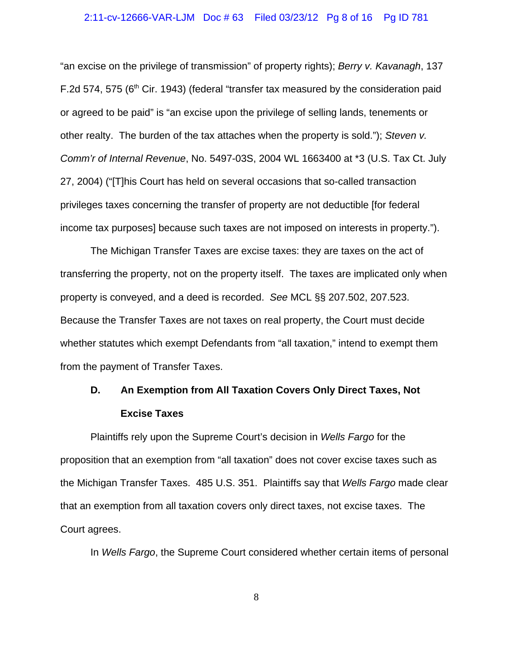## 2:11-cv-12666-VAR-LJM Doc # 63 Filed 03/23/12 Pg 8 of 16 Pg ID 781

"an excise on the privilege of transmission" of property rights); *Berry v. Kavanagh*, 137 F.2d 574, 575 ( $6<sup>th</sup>$  Cir. 1943) (federal "transfer tax measured by the consideration paid or agreed to be paid" is "an excise upon the privilege of selling lands, tenements or other realty. The burden of the tax attaches when the property is sold."); *Steven v. Comm'r of Internal Revenue*, No. 5497-03S, 2004 WL 1663400 at \*3 (U.S. Tax Ct. July 27, 2004) ("[T]his Court has held on several occasions that so-called transaction privileges taxes concerning the transfer of property are not deductible [for federal income tax purposes] because such taxes are not imposed on interests in property.").

The Michigan Transfer Taxes are excise taxes: they are taxes on the act of transferring the property, not on the property itself. The taxes are implicated only when property is conveyed, and a deed is recorded. *See* MCL §§ 207.502, 207.523. Because the Transfer Taxes are not taxes on real property, the Court must decide whether statutes which exempt Defendants from "all taxation," intend to exempt them from the payment of Transfer Taxes.

# **D. An Exemption from All Taxation Covers Only Direct Taxes, Not Excise Taxes**

Plaintiffs rely upon the Supreme Court's decision in *Wells Fargo* for the proposition that an exemption from "all taxation" does not cover excise taxes such as the Michigan Transfer Taxes. 485 U.S. 351. Plaintiffs say that *Wells Fargo* made clear that an exemption from all taxation covers only direct taxes, not excise taxes. The Court agrees.

In *Wells Fargo*, the Supreme Court considered whether certain items of personal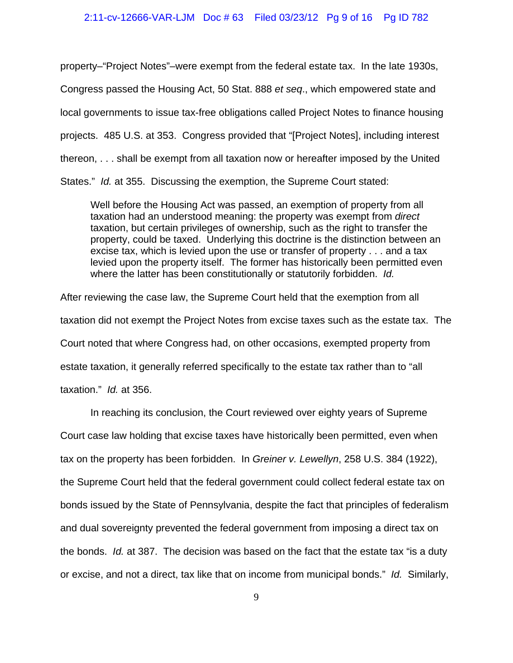## 2:11-cv-12666-VAR-LJM Doc # 63 Filed 03/23/12 Pg 9 of 16 Pg ID 782

property–"Project Notes"–were exempt from the federal estate tax. In the late 1930s, Congress passed the Housing Act, 50 Stat. 888 *et seq*., which empowered state and local governments to issue tax-free obligations called Project Notes to finance housing projects. 485 U.S. at 353. Congress provided that "[Project Notes], including interest thereon, . . . shall be exempt from all taxation now or hereafter imposed by the United States." *Id.* at 355. Discussing the exemption, the Supreme Court stated:

Well before the Housing Act was passed, an exemption of property from all taxation had an understood meaning: the property was exempt from *direct* taxation, but certain privileges of ownership, such as the right to transfer the property, could be taxed. Underlying this doctrine is the distinction between an excise tax, which is levied upon the use or transfer of property . . . and a tax levied upon the property itself. The former has historically been permitted even where the latter has been constitutionally or statutorily forbidden. *Id.*

After reviewing the case law, the Supreme Court held that the exemption from all taxation did not exempt the Project Notes from excise taxes such as the estate tax. The Court noted that where Congress had, on other occasions, exempted property from estate taxation, it generally referred specifically to the estate tax rather than to "all taxation." *Id.* at 356.

In reaching its conclusion, the Court reviewed over eighty years of Supreme

Court case law holding that excise taxes have historically been permitted, even when

tax on the property has been forbidden. In *Greiner v. Lewellyn*, 258 U.S. 384 (1922),

the Supreme Court held that the federal government could collect federal estate tax on bonds issued by the State of Pennsylvania, despite the fact that principles of federalism and dual sovereignty prevented the federal government from imposing a direct tax on the bonds. *Id.* at 387. The decision was based on the fact that the estate tax "is a duty or excise, and not a direct, tax like that on income from municipal bonds." *Id.* Similarly,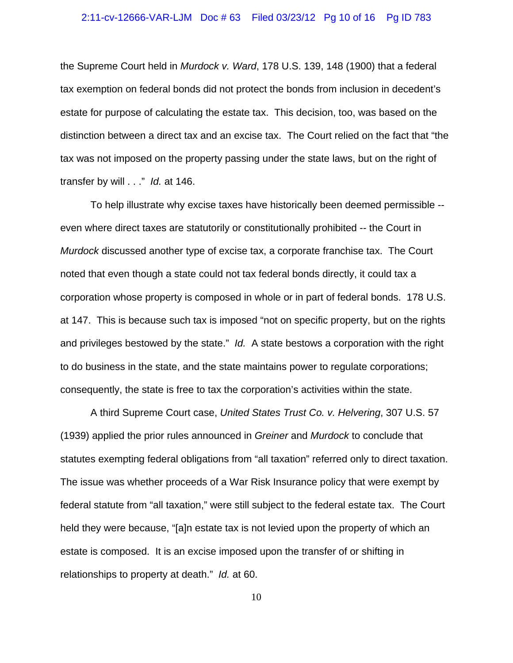## 2:11-cv-12666-VAR-LJM Doc # 63 Filed 03/23/12 Pg 10 of 16 Pg ID 783

the Supreme Court held in *Murdock v. Ward*, 178 U.S. 139, 148 (1900) that a federal tax exemption on federal bonds did not protect the bonds from inclusion in decedent's estate for purpose of calculating the estate tax. This decision, too, was based on the distinction between a direct tax and an excise tax. The Court relied on the fact that "the tax was not imposed on the property passing under the state laws, but on the right of transfer by will . . ." *Id.* at 146.

To help illustrate why excise taxes have historically been deemed permissible - even where direct taxes are statutorily or constitutionally prohibited -- the Court in *Murdock* discussed another type of excise tax, a corporate franchise tax. The Court noted that even though a state could not tax federal bonds directly, it could tax a corporation whose property is composed in whole or in part of federal bonds. 178 U.S. at 147. This is because such tax is imposed "not on specific property, but on the rights and privileges bestowed by the state." *Id.* A state bestows a corporation with the right to do business in the state, and the state maintains power to regulate corporations; consequently, the state is free to tax the corporation's activities within the state.

A third Supreme Court case, *United States Trust Co. v. Helvering*, 307 U.S. 57 (1939) applied the prior rules announced in *Greiner* and *Murdock* to conclude that statutes exempting federal obligations from "all taxation" referred only to direct taxation. The issue was whether proceeds of a War Risk Insurance policy that were exempt by federal statute from "all taxation," were still subject to the federal estate tax. The Court held they were because, "[a]n estate tax is not levied upon the property of which an estate is composed. It is an excise imposed upon the transfer of or shifting in relationships to property at death." *Id.* at 60.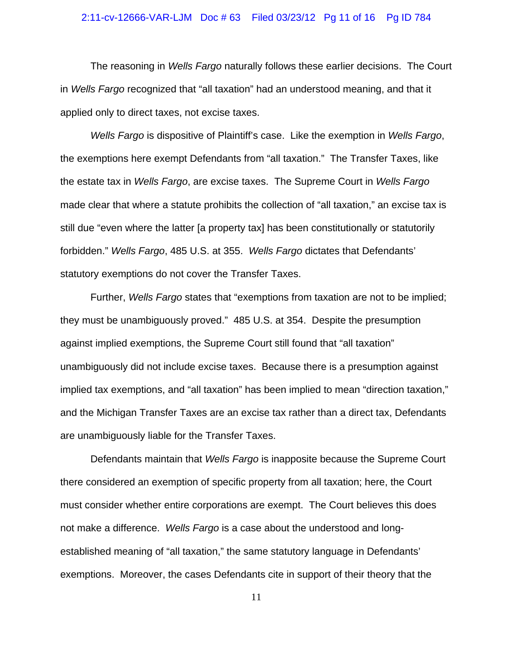## 2:11-cv-12666-VAR-LJM Doc # 63 Filed 03/23/12 Pg 11 of 16 Pg ID 784

The reasoning in *Wells Fargo* naturally follows these earlier decisions. The Court in *Wells Fargo* recognized that "all taxation" had an understood meaning, and that it applied only to direct taxes, not excise taxes.

*Wells Fargo* is dispositive of Plaintiff's case. Like the exemption in *Wells Fargo*, the exemptions here exempt Defendants from "all taxation." The Transfer Taxes, like the estate tax in *Wells Fargo*, are excise taxes. The Supreme Court in *Wells Fargo* made clear that where a statute prohibits the collection of "all taxation," an excise tax is still due "even where the latter [a property tax] has been constitutionally or statutorily forbidden." *Wells Fargo*, 485 U.S. at 355. *Wells Fargo* dictates that Defendants' statutory exemptions do not cover the Transfer Taxes.

Further, *Wells Fargo* states that "exemptions from taxation are not to be implied; they must be unambiguously proved." 485 U.S. at 354. Despite the presumption against implied exemptions, the Supreme Court still found that "all taxation" unambiguously did not include excise taxes. Because there is a presumption against implied tax exemptions, and "all taxation" has been implied to mean "direction taxation," and the Michigan Transfer Taxes are an excise tax rather than a direct tax, Defendants are unambiguously liable for the Transfer Taxes.

Defendants maintain that *Wells Fargo* is inapposite because the Supreme Court there considered an exemption of specific property from all taxation; here, the Court must consider whether entire corporations are exempt. The Court believes this does not make a difference. *Wells Fargo* is a case about the understood and longestablished meaning of "all taxation," the same statutory language in Defendants' exemptions. Moreover, the cases Defendants cite in support of their theory that the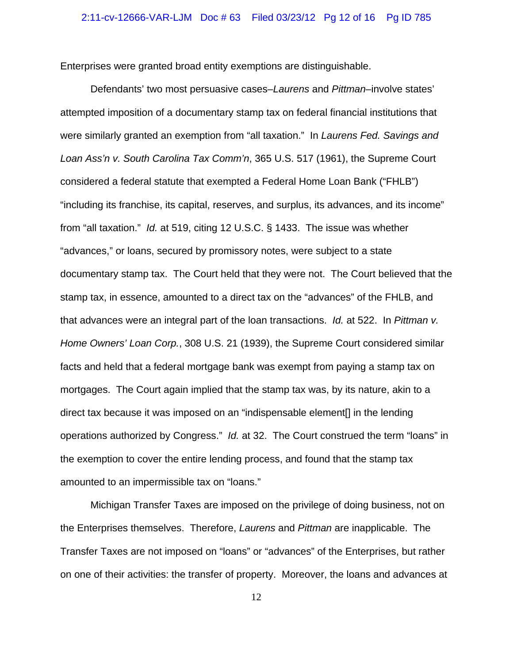Enterprises were granted broad entity exemptions are distinguishable.

Defendants' two most persuasive cases–*Laurens* and *Pittman*–involve states' attempted imposition of a documentary stamp tax on federal financial institutions that were similarly granted an exemption from "all taxation." In *Laurens Fed. Savings and Loan Ass'n v. South Carolina Tax Comm'n*, 365 U.S. 517 (1961), the Supreme Court considered a federal statute that exempted a Federal Home Loan Bank ("FHLB") "including its franchise, its capital, reserves, and surplus, its advances, and its income" from "all taxation." *Id.* at 519, citing 12 U.S.C. § 1433. The issue was whether "advances," or loans, secured by promissory notes, were subject to a state documentary stamp tax. The Court held that they were not. The Court believed that the stamp tax, in essence, amounted to a direct tax on the "advances" of the FHLB, and that advances were an integral part of the loan transactions. *Id.* at 522. In *Pittman v. Home Owners' Loan Corp.*, 308 U.S. 21 (1939), the Supreme Court considered similar facts and held that a federal mortgage bank was exempt from paying a stamp tax on mortgages. The Court again implied that the stamp tax was, by its nature, akin to a direct tax because it was imposed on an "indispensable element[] in the lending operations authorized by Congress." *Id.* at 32. The Court construed the term "loans" in the exemption to cover the entire lending process, and found that the stamp tax amounted to an impermissible tax on "loans."

Michigan Transfer Taxes are imposed on the privilege of doing business, not on the Enterprises themselves. Therefore, *Laurens* and *Pittman* are inapplicable. The Transfer Taxes are not imposed on "loans" or "advances" of the Enterprises, but rather on one of their activities: the transfer of property. Moreover, the loans and advances at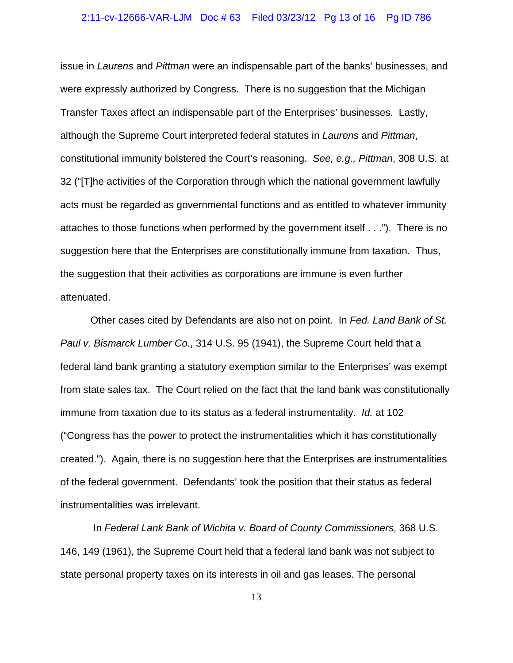## 2:11-cv-12666-VAR-LJM Doc # 63 Filed 03/23/12 Pg 13 of 16 Pg ID 786

issue in *Laurens* and *Pittman* were an indispensable part of the banks' businesses, and were expressly authorized by Congress. There is no suggestion that the Michigan Transfer Taxes affect an indispensable part of the Enterprises' businesses. Lastly, although the Supreme Court interpreted federal statutes in *Laurens* and *Pittman*, constitutional immunity bolstered the Court's reasoning. *See, e.g., Pittman*, 308 U.S. at 32 ("[T]he activities of the Corporation through which the national government lawfully acts must be regarded as governmental functions and as entitled to whatever immunity attaches to those functions when performed by the government itself . . ."). There is no suggestion here that the Enterprises are constitutionally immune from taxation. Thus, the suggestion that their activities as corporations are immune is even further attenuated.

Other cases cited by Defendants are also not on point. In *Fed. Land Bank of St. Paul v. Bismarck Lumber Co.*, 314 U.S. 95 (1941), the Supreme Court held that a federal land bank granting a statutory exemption similar to the Enterprises' was exempt from state sales tax. The Court relied on the fact that the land bank was constitutionally immune from taxation due to its status as a federal instrumentality. *Id.* at 102 ("Congress has the power to protect the instrumentalities which it has constitutionally created."). Again, there is no suggestion here that the Enterprises are instrumentalities of the federal government. Defendants' took the position that their status as federal instrumentalities was irrelevant.

 In *Federal Lank Bank of Wichita v. Board of County Commissioners*, 368 U.S. 146, 149 (1961), the Supreme Court held that a federal land bank was not subject to state personal property taxes on its interests in oil and gas leases. The personal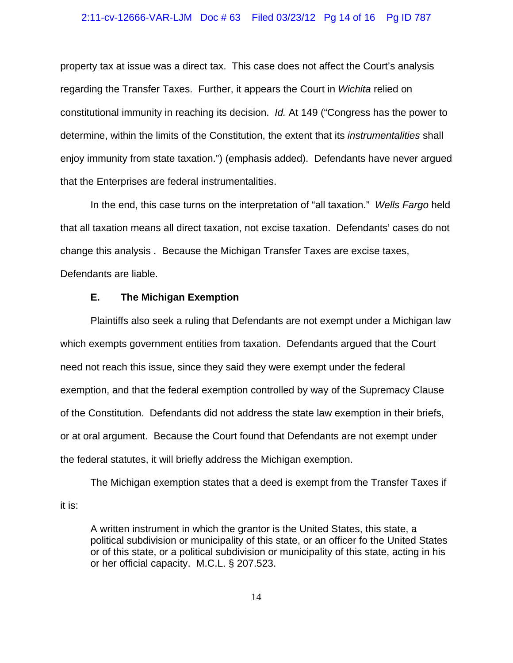## 2:11-cv-12666-VAR-LJM Doc # 63 Filed 03/23/12 Pg 14 of 16 Pg ID 787

property tax at issue was a direct tax. This case does not affect the Court's analysis regarding the Transfer Taxes. Further, it appears the Court in *Wichita* relied on constitutional immunity in reaching its decision. *Id.* At 149 ("Congress has the power to determine, within the limits of the Constitution, the extent that its *instrumentalities* shall enjoy immunity from state taxation.") (emphasis added). Defendants have never argued that the Enterprises are federal instrumentalities.

In the end, this case turns on the interpretation of "all taxation." *Wells Fargo* held that all taxation means all direct taxation, not excise taxation. Defendants' cases do not change this analysis . Because the Michigan Transfer Taxes are excise taxes, Defendants are liable.

## **E. The Michigan Exemption**

Plaintiffs also seek a ruling that Defendants are not exempt under a Michigan law which exempts government entities from taxation. Defendants argued that the Court need not reach this issue, since they said they were exempt under the federal exemption, and that the federal exemption controlled by way of the Supremacy Clause of the Constitution. Defendants did not address the state law exemption in their briefs, or at oral argument. Because the Court found that Defendants are not exempt under the federal statutes, it will briefly address the Michigan exemption.

The Michigan exemption states that a deed is exempt from the Transfer Taxes if it is:

A written instrument in which the grantor is the United States, this state, a political subdivision or municipality of this state, or an officer fo the United States or of this state, or a political subdivision or municipality of this state, acting in his or her official capacity. M.C.L. § 207.523.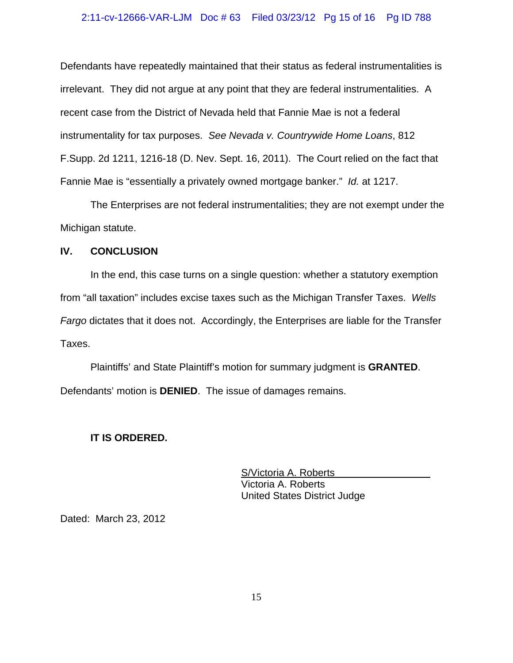## 2:11-cv-12666-VAR-LJM Doc # 63 Filed 03/23/12 Pg 15 of 16 Pg ID 788

Defendants have repeatedly maintained that their status as federal instrumentalities is irrelevant. They did not argue at any point that they are federal instrumentalities. A recent case from the District of Nevada held that Fannie Mae is not a federal instrumentality for tax purposes. *See Nevada v. Countrywide Home Loans*, 812 F.Supp. 2d 1211, 1216-18 (D. Nev. Sept. 16, 2011). The Court relied on the fact that Fannie Mae is "essentially a privately owned mortgage banker." *Id.* at 1217.

The Enterprises are not federal instrumentalities; they are not exempt under the Michigan statute.

## **IV. CONCLUSION**

In the end, this case turns on a single question: whether a statutory exemption from "all taxation" includes excise taxes such as the Michigan Transfer Taxes. *Wells Fargo* dictates that it does not. Accordingly, the Enterprises are liable for the Transfer Taxes.

Plaintiffs' and State Plaintiff's motion for summary judgment is **GRANTED**. Defendants' motion is **DENIED**. The issue of damages remains.

## **IT IS ORDERED.**

S/Victoria A. Roberts Victoria A. Roberts United States District Judge

Dated: March 23, 2012